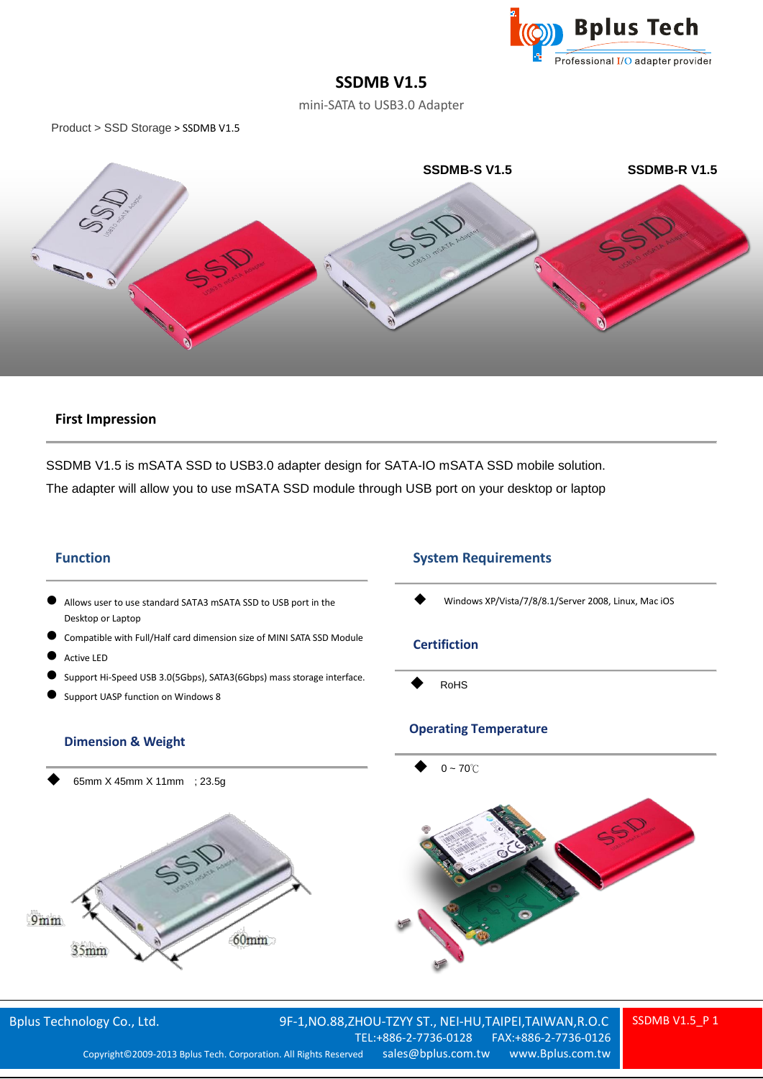

# **SSDMB V1.5**

mini-SATA to USB3.0 Adapter

Product > SSD Storage > SSDMB V1.5



### **First Impression**

SSDMB V1.5 is mSATA SSD to USB3.0 adapter design for SATA-IO mSATA SSD mobile solution. The adapter will allow you to use mSATA SSD module through USB port on your desktop or laptop

#### **Function**

- Allows user to use standard SATA3 mSATA SSD to USB port in the Desktop or Laptop
- Compatible with Full/Half card dimension size of MINI SATA SSD Module
- Active LED
- Support Hi-Speed USB 3.0(5Gbps), SATA3(6Gbps) mass storage interface.
- Support UASP function on Windows 8

#### **Dimension & Weight**

65mm X 45mm X 11mm ; 23.5g



## **System Requirements**

Windows XP/Vista/7/8/8.1/Server 2008, Linux, Mac iOS

#### **Certifiction**

RoHS

#### **Operating Temperature**



Bplus Technology Co., Ltd. 9F-1,NO.88,ZHOU-TZYY ST., NEI-HU,TAIPEI,TAIWAN,R.O.C<br>7EL:+886-2-7736-0128 FAX:+886-2-7736-0126 TEL:+886-2-7736-0128 Copyright© 2009-2013 Bplus Tech. Corporation. All Rights Reserved sales@bplus.com.tw www.Bplus.com.tw